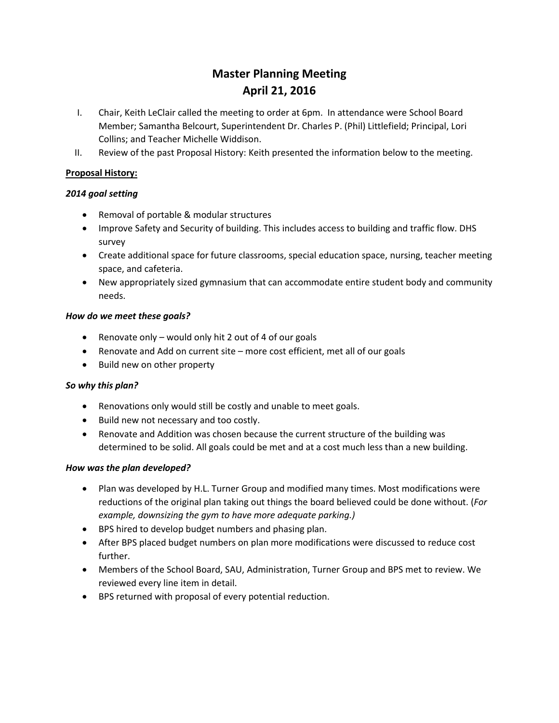# **Master Planning Meeting April 21, 2016**

- I. Chair, Keith LeClair called the meeting to order at 6pm. In attendance were School Board Member; Samantha Belcourt, Superintendent Dr. Charles P. (Phil) Littlefield; Principal, Lori Collins; and Teacher Michelle Widdison.
- II. Review of the past Proposal History: Keith presented the information below to the meeting.

### **Proposal History:**

#### *2014 goal setting*

- Removal of portable & modular structures
- Improve Safety and Security of building. This includes access to building and traffic flow. DHS survey
- Create additional space for future classrooms, special education space, nursing, teacher meeting space, and cafeteria.
- New appropriately sized gymnasium that can accommodate entire student body and community needs.

#### *How do we meet these goals?*

- Renovate only would only hit 2 out of 4 of our goals
- Renovate and Add on current site more cost efficient, met all of our goals
- Build new on other property

#### *So why this plan?*

- Renovations only would still be costly and unable to meet goals.
- Build new not necessary and too costly.
- Renovate and Addition was chosen because the current structure of the building was determined to be solid. All goals could be met and at a cost much less than a new building.

#### *How was the plan developed?*

- Plan was developed by H.L. Turner Group and modified many times. Most modifications were reductions of the original plan taking out things the board believed could be done without. (*For example, downsizing the gym to have more adequate parking.)*
- BPS hired to develop budget numbers and phasing plan.
- After BPS placed budget numbers on plan more modifications were discussed to reduce cost further.
- Members of the School Board, SAU, Administration, Turner Group and BPS met to review. We reviewed every line item in detail.
- BPS returned with proposal of every potential reduction.